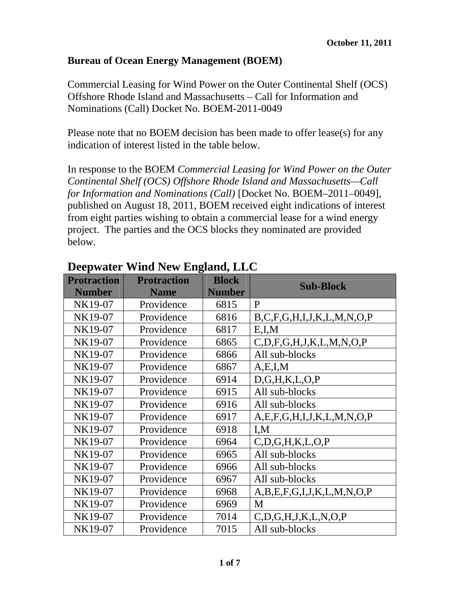#### **Bureau of Ocean Energy Management (BOEM)**

Commercial Leasing for Wind Power on the Outer Continental Shelf (OCS) Offshore Rhode Island and Massachusetts – Call for Information and Nominations (Call) Docket No. BOEM-2011-0049

Please note that no BOEM decision has been made to offer lease(s) for any indication of interest listed in the table below.

In response to the BOEM *Commercial Leasing for Wind Power on the Outer Continental Shelf (OCS) Offshore Rhode Island and Massachusetts—Call for Information and Nominations (Call)* [Docket No. BOEM–2011–0049], published on August 18, 2011, BOEM received eight indications of interest from eight parties wishing to obtain a commercial lease for a wind energy project. The parties and the OCS blocks they nominated are provided below.

| <b>Protraction</b> | <b>Protraction</b> | <b>Block</b>  | <b>Sub-Block</b>                      |
|--------------------|--------------------|---------------|---------------------------------------|
| <b>Number</b>      | <b>Name</b>        | <b>Number</b> |                                       |
| NK19-07            | Providence         | 6815          | P                                     |
| NK19-07            | Providence         | 6816          | B, C, F, G, H, I, J, K, L, M, N, O, P |
| NK19-07            | Providence         | 6817          | E, I, M                               |
| NK19-07            | Providence         | 6865          | C, D, F, G, H, J, K, L, M, N, O, P    |
| NK19-07            | Providence         | 6866          | All sub-blocks                        |
| NK19-07            | Providence         | 6867          | A, E, I, M                            |
| NK19-07            | Providence         | 6914          | D, G, H, K, L, O, P                   |
| NK19-07            | Providence         | 6915          | All sub-blocks                        |
| NK19-07            | Providence         | 6916          | All sub-blocks                        |
| NK19-07            | Providence         | 6917          | A, E, F, G, H, I, J, K, L, M, N, O, P |
| NK19-07            | Providence         | 6918          | I, M                                  |
| NK19-07            | Providence         | 6964          | C, D, G, H, K, L, O, P                |
| NK19-07            | Providence         | 6965          | All sub-blocks                        |
| NK19-07            | Providence         | 6966          | All sub-blocks                        |
| NK19-07            | Providence         | 6967          | All sub-blocks                        |
| NK19-07            | Providence         | 6968          | A, B, E, F, G, I, J, K, L, M, N, O, P |
| NK19-07            | Providence         | 6969          | M                                     |
| NK19-07            | Providence         | 7014          | C, D, G, H, J, K, L, N, O, P          |
| NK19-07            | Providence         | 7015          | All sub-blocks                        |

#### **Deepwater Wind New England, LLC**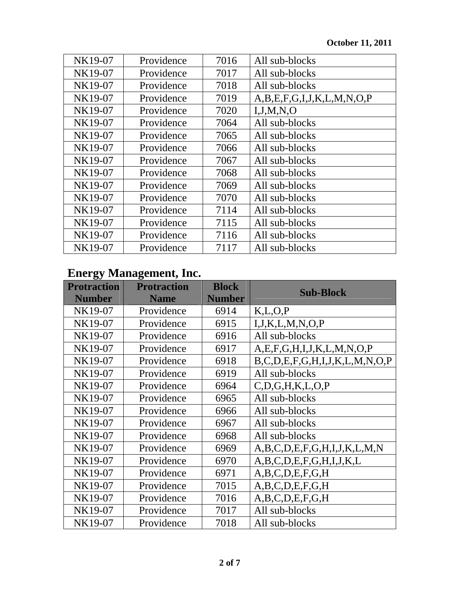| NK19-07 | Providence | 7016 | All sub-blocks                        |
|---------|------------|------|---------------------------------------|
| NK19-07 | Providence | 7017 | All sub-blocks                        |
| NK19-07 | Providence | 7018 | All sub-blocks                        |
| NK19-07 | Providence | 7019 | A, B, E, F, G, I, J, K, L, M, N, O, P |
| NK19-07 | Providence | 7020 | I, J, M, N, O                         |
| NK19-07 | Providence | 7064 | All sub-blocks                        |
| NK19-07 | Providence | 7065 | All sub-blocks                        |
| NK19-07 | Providence | 7066 | All sub-blocks                        |
| NK19-07 | Providence | 7067 | All sub-blocks                        |
| NK19-07 | Providence | 7068 | All sub-blocks                        |
| NK19-07 | Providence | 7069 | All sub-blocks                        |
| NK19-07 | Providence | 7070 | All sub-blocks                        |
| NK19-07 | Providence | 7114 | All sub-blocks                        |
| NK19-07 | Providence | 7115 | All sub-blocks                        |
| NK19-07 | Providence | 7116 | All sub-blocks                        |
| NK19-07 | Providence | 7117 | All sub-blocks                        |

## **Energy Management, Inc.**

| <b>Protraction</b><br><b>Number</b> | <b>Protraction</b><br><b>Name</b> | <b>Block</b><br><b>Number</b> | <b>Sub-Block</b>                              |
|-------------------------------------|-----------------------------------|-------------------------------|-----------------------------------------------|
| NK19-07                             | Providence                        | 6914                          | K, L, O, P                                    |
| NK19-07                             | Providence                        | 6915                          | I, J, K, L, M, N, O, P                        |
| NK19-07                             | Providence                        | 6916                          | All sub-blocks                                |
| NK19-07                             | Providence                        | 6917                          | A, E, F, G, H, I, J, K, L, M, N, O, P         |
| NK19-07                             | Providence                        | 6918                          | $B, C, D, E, F, G, H, I, J, K, L, M, N, O, P$ |
| NK19-07                             | Providence                        | 6919                          | All sub-blocks                                |
| NK19-07                             | Providence                        | 6964                          | C, D, G, H, K, L, O, P                        |
| NK19-07                             | Providence                        | 6965                          | All sub-blocks                                |
| NK19-07                             | Providence                        | 6966                          | All sub-blocks                                |
| NK19-07                             | Providence                        | 6967                          | All sub-blocks                                |
| NK19-07                             | Providence                        | 6968                          | All sub-blocks                                |
| NK19-07                             | Providence                        | 6969                          | A,B,C,D,E,F,G,H,I,J,K,L,M,N                   |
| NK19-07                             | Providence                        | 6970                          | A,B,C,D,E,F,G,H,I,J,K,L                       |
| NK19-07                             | Providence                        | 6971                          | A, B, C, D, E, F, G, H                        |
| NK19-07                             | Providence                        | 7015                          | A, B, C, D, E, F, G, H                        |
| NK19-07                             | Providence                        | 7016                          | A, B, C, D, E, F, G, H                        |
| NK19-07                             | Providence                        | 7017                          | All sub-blocks                                |
| NK19-07                             | Providence                        | 7018                          | All sub-blocks                                |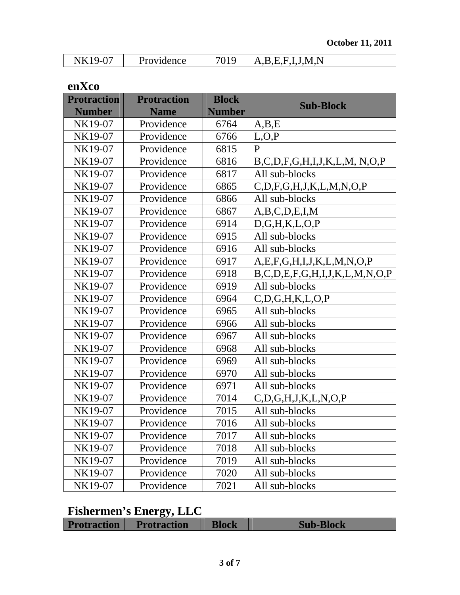| NK19-07 | Providence | A, B, E, F, I, J, M, N |
|---------|------------|------------------------|

**enXco** 

| <b>Protraction</b> | <b>Protraction</b> | <b>Block</b>  | <b>Sub-Block</b>                              |
|--------------------|--------------------|---------------|-----------------------------------------------|
| <b>Number</b>      | <b>Name</b>        | <b>Number</b> |                                               |
| NK19-07            | Providence         | 6764          | A,B,E                                         |
| NK19-07            | Providence         | 6766          | L, O, P                                       |
| NK19-07            | Providence         | 6815          | $\mathbf{P}$                                  |
| NK19-07            | Providence         | 6816          | $B, C, D, F, G, H, I, J, K, L, M, N, O, P$    |
| NK19-07            | Providence         | 6817          | All sub-blocks                                |
| NK19-07            | Providence         | 6865          | C, D, F, G, H, J, K, L, M, N, O, P            |
| NK19-07            | Providence         | 6866          | All sub-blocks                                |
| NK19-07            | Providence         | 6867          | A,B,C,D,E,I,M                                 |
| NK19-07            | Providence         | 6914          | D, G, H, K, L, O, P                           |
| NK19-07            | Providence         | 6915          | All sub-blocks                                |
| NK19-07            | Providence         | 6916          | All sub-blocks                                |
| NK19-07            | Providence         | 6917          | A, E, F, G, H, I, J, K, L, M, N, O, P         |
| NK19-07            | Providence         | 6918          | $B, C, D, E, F, G, H, I, J, K, L, M, N, O, P$ |
| NK19-07            | Providence         | 6919          | All sub-blocks                                |
| NK19-07            | Providence         | 6964          | C, D, G, H, K, L, O, P                        |
| NK19-07            | Providence         | 6965          | All sub-blocks                                |
| NK19-07            | Providence         | 6966          | All sub-blocks                                |
| NK19-07            | Providence         | 6967          | All sub-blocks                                |
| NK19-07            | Providence         | 6968          | All sub-blocks                                |
| NK19-07            | Providence         | 6969          | All sub-blocks                                |
| NK19-07            | Providence         | 6970          | All sub-blocks                                |
| NK19-07            | Providence         | 6971          | All sub-blocks                                |
| NK19-07            | Providence         | 7014          | C, D, G, H, J, K, L, N, O, P                  |
| NK19-07            | Providence         | 7015          | All sub-blocks                                |
| NK19-07            | Providence         | 7016          | All sub-blocks                                |
| NK19-07            | Providence         | 7017          | All sub-blocks                                |
| NK19-07            | Providence         | 7018          | All sub-blocks                                |
| NK19-07            | Providence         | 7019          | All sub-blocks                                |
| NK19-07            | Providence         | 7020          | All sub-blocks                                |
| NK19-07            | Providence         | 7021          | All sub-blocks                                |

## **Fishermen's Energy, LLC**

| ______________     |                    |       |                  |
|--------------------|--------------------|-------|------------------|
| <b>Protraction</b> | <b>Protraction</b> | Block | <b>Sub-Block</b> |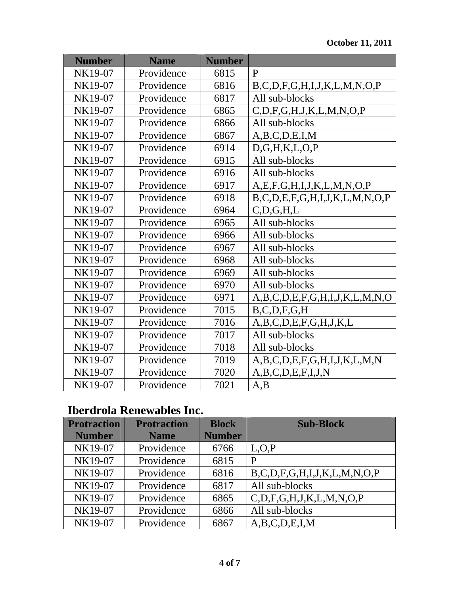| <b>Number</b> | <b>Name</b> | <b>Number</b> |                                               |
|---------------|-------------|---------------|-----------------------------------------------|
| NK19-07       | Providence  | 6815          | $\mathbf{P}$                                  |
| NK19-07       | Providence  | 6816          | $B, C, D, F, G, H, I, J, K, L, M, N, O, P$    |
| NK19-07       | Providence  | 6817          | All sub-blocks                                |
| NK19-07       | Providence  | 6865          | C, D, F, G, H, J, K, L, M, N, O, P            |
| NK19-07       | Providence  | 6866          | All sub-blocks                                |
| NK19-07       | Providence  | 6867          | A,B,C,D,E,I,M                                 |
| NK19-07       | Providence  | 6914          | D,G,H,K,L,O,P                                 |
| NK19-07       | Providence  | 6915          | All sub-blocks                                |
| NK19-07       | Providence  | 6916          | All sub-blocks                                |
| NK19-07       | Providence  | 6917          | A, E, F, G, H, I, J, K, L, M, N, O, P         |
| NK19-07       | Providence  | 6918          | $B, C, D, E, F, G, H, I, J, K, L, M, N, O, P$ |
| NK19-07       | Providence  | 6964          | C, D, G, H, L                                 |
| NK19-07       | Providence  | 6965          | All sub-blocks                                |
| NK19-07       | Providence  | 6966          | All sub-blocks                                |
| NK19-07       | Providence  | 6967          | All sub-blocks                                |
| NK19-07       | Providence  | 6968          | All sub-blocks                                |
| NK19-07       | Providence  | 6969          | All sub-blocks                                |
| NK19-07       | Providence  | 6970          | All sub-blocks                                |
| NK19-07       | Providence  | 6971          | A,B,C,D,E,F,G,H,I,J,K,L,M,N,O                 |
| NK19-07       | Providence  | 7015          | B, C, D, F, G, H                              |
| NK19-07       | Providence  | 7016          | A,B,C,D,E,F,G,H,J,K,L                         |
| NK19-07       | Providence  | 7017          | All sub-blocks                                |
| NK19-07       | Providence  | 7018          | All sub-blocks                                |
| NK19-07       | Providence  | 7019          | A,B,C,D,E,F,G,H,I,J,K,L,M,N                   |
| NK19-07       | Providence  | 7020          | A,B,C,D,E,F,I,J,N                             |
| NK19-07       | Providence  | 7021          | A,B                                           |

# **Iberdrola Renewables Inc.**

| <b>Protraction</b> | <b>Protraction</b> | <b>Block</b>  | <b>Sub-Block</b>                           |
|--------------------|--------------------|---------------|--------------------------------------------|
| <b>Number</b>      | <b>Name</b>        | <b>Number</b> |                                            |
| NK19-07            | Providence         | 6766          | L, O, P                                    |
| NK19-07            | Providence         | 6815          | P                                          |
| NK19-07            | Providence         | 6816          | $B, C, D, F, G, H, I, J, K, L, M, N, O, P$ |
| NK19-07            | Providence         | 6817          | All sub-blocks                             |
| NK19-07            | Providence         | 6865          | C, D, F, G, H, J, K, L, M, N, O, P         |
| NK19-07            | Providence         | 6866          | All sub-blocks                             |
| NK19-07            | Providence         | 6867          | A, B, C, D, E, I, M                        |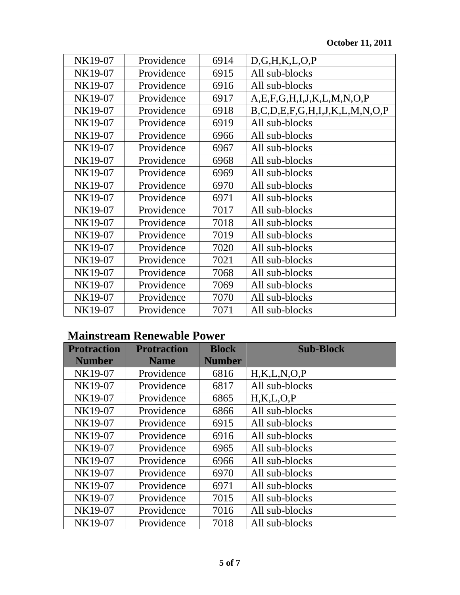| NK19-07 | Providence | 6914 | D, G, H, K, L, O, P                           |
|---------|------------|------|-----------------------------------------------|
| NK19-07 | Providence | 6915 | All sub-blocks                                |
| NK19-07 | Providence | 6916 | All sub-blocks                                |
| NK19-07 | Providence | 6917 | A, E, F, G, H, I, J, K, L, M, N, O, P         |
| NK19-07 | Providence | 6918 | $B, C, D, E, F, G, H, I, J, K, L, M, N, O, P$ |
| NK19-07 | Providence | 6919 | All sub-blocks                                |
| NK19-07 | Providence | 6966 | All sub-blocks                                |
| NK19-07 | Providence | 6967 | All sub-blocks                                |
| NK19-07 | Providence | 6968 | All sub-blocks                                |
| NK19-07 | Providence | 6969 | All sub-blocks                                |
| NK19-07 | Providence | 6970 | All sub-blocks                                |
| NK19-07 | Providence | 6971 | All sub-blocks                                |
| NK19-07 | Providence | 7017 | All sub-blocks                                |
| NK19-07 | Providence | 7018 | All sub-blocks                                |
| NK19-07 | Providence | 7019 | All sub-blocks                                |
| NK19-07 | Providence | 7020 | All sub-blocks                                |
| NK19-07 | Providence | 7021 | All sub-blocks                                |
| NK19-07 | Providence | 7068 | All sub-blocks                                |
| NK19-07 | Providence | 7069 | All sub-blocks                                |
| NK19-07 | Providence | 7070 | All sub-blocks                                |
| NK19-07 | Providence | 7071 | All sub-blocks                                |

## **Mainstream Renewable Power**

| <b>Protraction</b> | <b>Protraction</b> | <b>Block</b>  | <b>Sub-Block</b> |
|--------------------|--------------------|---------------|------------------|
| <b>Number</b>      | <b>Name</b>        | <b>Number</b> |                  |
| NK19-07            | Providence         | 6816          | H,K,L,N,O,P      |
| NK19-07            | Providence         | 6817          | All sub-blocks   |
| NK19-07            | Providence         | 6865          | H,K,L,O,P        |
| NK19-07            | Providence         | 6866          | All sub-blocks   |
| NK19-07            | Providence         | 6915          | All sub-blocks   |
| NK19-07            | Providence         | 6916          | All sub-blocks   |
| NK19-07            | Providence         | 6965          | All sub-blocks   |
| NK19-07            | Providence         | 6966          | All sub-blocks   |
| NK19-07            | Providence         | 6970          | All sub-blocks   |
| NK19-07            | Providence         | 6971          | All sub-blocks   |
| NK19-07            | Providence         | 7015          | All sub-blocks   |
| NK19-07            | Providence         | 7016          | All sub-blocks   |
| NK19-07            | Providence         | 7018          | All sub-blocks   |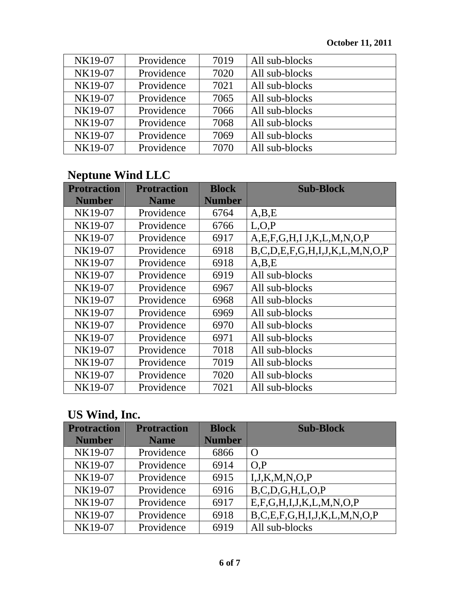| NK19-07 | Providence | 7019 | All sub-blocks |
|---------|------------|------|----------------|
| NK19-07 | Providence | 7020 | All sub-blocks |
| NK19-07 | Providence | 7021 | All sub-blocks |
| NK19-07 | Providence | 7065 | All sub-blocks |
| NK19-07 | Providence | 7066 | All sub-blocks |
| NK19-07 | Providence | 7068 | All sub-blocks |
| NK19-07 | Providence | 7069 | All sub-blocks |
| NK19-07 | Providence | 7070 | All sub-blocks |

## **Neptune Wind LLC**

| <b>Protraction</b> | <b>Protraction</b> | <b>Block</b>  | <b>Sub-Block</b>                              |
|--------------------|--------------------|---------------|-----------------------------------------------|
| <b>Number</b>      | <b>Name</b>        | <b>Number</b> |                                               |
| NK19-07            | Providence         | 6764          | A,B,E                                         |
| NK19-07            | Providence         | 6766          | L, O, P                                       |
| NK19-07            | Providence         | 6917          | A, E, F, G, H, I, J, K, L, M, N, O, P         |
| NK19-07            | Providence         | 6918          | $B, C, D, E, F, G, H, I, J, K, L, M, N, O, P$ |
| NK19-07            | Providence         | 6918          | A,B,E                                         |
| NK19-07            | Providence         | 6919          | All sub-blocks                                |
| NK19-07            | Providence         | 6967          | All sub-blocks                                |
| NK19-07            | Providence         | 6968          | All sub-blocks                                |
| NK19-07            | Providence         | 6969          | All sub-blocks                                |
| NK19-07            | Providence         | 6970          | All sub-blocks                                |
| NK19-07            | Providence         | 6971          | All sub-blocks                                |
| NK19-07            | Providence         | 7018          | All sub-blocks                                |
| NK19-07            | Providence         | 7019          | All sub-blocks                                |
| NK19-07            | Providence         | 7020          | All sub-blocks                                |
| NK19-07            | Providence         | 7021          | All sub-blocks                                |

## **US Wind, Inc.**

| <b>Protraction</b> | <b>Protraction</b> | <b>Block</b>  | <b>Sub-Block</b>                           |
|--------------------|--------------------|---------------|--------------------------------------------|
| <b>Number</b>      | <b>Name</b>        | <b>Number</b> |                                            |
| NK19-07            | Providence         | 6866          | $\Omega$                                   |
| NK19-07            | Providence         | 6914          | O.P                                        |
| NK19-07            | Providence         | 6915          | I, J, K, M, N, O, P                        |
| NK19-07            | Providence         | 6916          | B, C, D, G, H, L, O, P                     |
| NK19-07            | Providence         | 6917          | E, F, G, H, I, J, K, L, M, N, O, P         |
| NK19-07            | Providence         | 6918          | $B, C, E, F, G, H, I, J, K, L, M, N, O, P$ |
| NK19-07            | Providence         | 6919          | All sub-blocks                             |